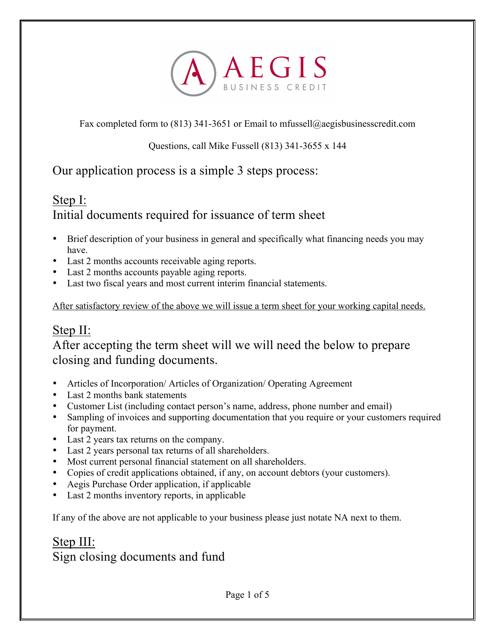

Fax completed form to (813) 341-3651 or Email to mfussell@aegisbusinesscredit.com

Questions, call Mike Fussell (813) 341-3655 x 144

Our application process is a simple 3 steps process:

## Step I:

Initial documents required for issuance of term sheet

- Brief description of your business in general and specifically what financing needs you may have.
- Last 2 months accounts receivable aging reports.
- Last 2 months accounts payable aging reports.
- Last two fiscal years and most current interim financial statements.

After satisfactory review of the above we will issue a term sheet for your working capital needs.

# Step II:

After accepting the term sheet will we will need the below to prepare closing and funding documents.

- Articles of Incorporation/Articles of Organization/Operating Agreement
- Last 2 months bank statements
- Customer List (including contact person's name, address, phone number and email)
- Sampling of invoices and supporting documentation that you require or your customers required for payment.
- Last 2 years tax returns on the company.
- Last 2 years personal tax returns of all shareholders.
- Most current personal financial statement on all shareholders.
- Copies of credit applications obtained, if any, on account debtors (your customers).
- Aegis Purchase Order application, if applicable
- Last 2 months inventory reports, in applicable

If any of the above are not applicable to your business please just notate NA next to them.

# Step III: Sign closing documents and fund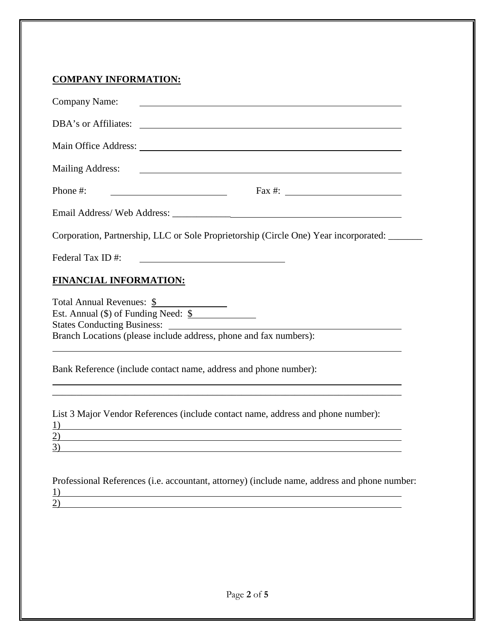## **COMPANY INFORMATION:**

| <b>Company Name:</b>                                              |                                                                                                                                                                                                      |
|-------------------------------------------------------------------|------------------------------------------------------------------------------------------------------------------------------------------------------------------------------------------------------|
| DBA's or Affiliates:                                              |                                                                                                                                                                                                      |
|                                                                   |                                                                                                                                                                                                      |
| <b>Mailing Address:</b>                                           |                                                                                                                                                                                                      |
| Phone #:                                                          |                                                                                                                                                                                                      |
|                                                                   |                                                                                                                                                                                                      |
|                                                                   | Corporation, Partnership, LLC or Sole Proprietorship (Circle One) Year incorporated:                                                                                                                 |
| Federal Tax ID#:                                                  |                                                                                                                                                                                                      |
| <b>FINANCIAL INFORMATION:</b>                                     |                                                                                                                                                                                                      |
| Total Annual Revenues: \$<br>Est. Annual (\$) of Funding Need: \$ | Branch Locations (please include address, phone and fax numbers):                                                                                                                                    |
|                                                                   | Bank Reference (include contact name, address and phone number):                                                                                                                                     |
| 1)<br>(2)<br>3)                                                   | List 3 Major Vendor References (include contact name, address and phone number):<br>and the control of the control of the control of the control of the control of the control of the control of the |

| Professional References (i.e. accountant, attorney) (include name, address and phone number: |  |
|----------------------------------------------------------------------------------------------|--|
|                                                                                              |  |
| (2)                                                                                          |  |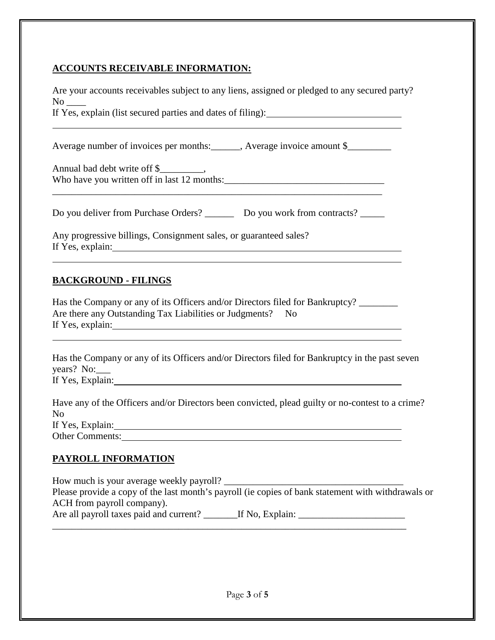#### **ACCOUNTS RECEIVABLE INFORMATION:**

Are your accounts receivables subject to any liens, assigned or pledged to any secured party?  $\rm No$ 

If Yes, explain (list secured parties and dates of filing):

Average number of invoices per months: Average invoice amount \$

Annual bad debt write off \$ Who have you written off in last 12 months:\_\_\_\_\_\_\_\_\_\_\_\_\_\_\_\_\_\_\_\_\_\_\_\_\_\_\_\_\_\_\_\_\_

\_\_\_\_\_\_\_\_\_\_\_\_\_\_\_\_\_\_\_\_\_\_\_\_\_\_\_\_\_\_\_\_\_\_\_\_\_\_\_\_\_\_\_\_\_\_\_\_\_\_\_\_\_\_\_\_\_\_\_\_\_\_\_\_\_\_\_\_

Do you deliver from Purchase Orders? \_\_\_\_\_\_\_\_ Do you work from contracts? \_\_\_\_\_\_

Any progressive billings, Consignment sales, or guaranteed sales? If Yes, explain:

## **BACKGROUND - FILINGS**

Has the Company or any of its Officers and/or Directors filed for Bankruptcy? \_\_\_\_\_\_\_ Are there any Outstanding Tax Liabilities or Judgments? No If Yes, explain:

Has the Company or any of its Officers and/or Directors filed for Bankruptcy in the past seven years? No: If Yes, Explain:

| Have any of the Officers and/or Directors been convicted, plead guilty or no-contest to a crime? |  |
|--------------------------------------------------------------------------------------------------|--|
| No                                                                                               |  |
| If Yes, Explain:                                                                                 |  |
| <b>Other Comments:</b>                                                                           |  |

## **PAYROLL INFORMATION**

How much is your average weekly payroll? Please provide a copy of the last month's payroll (ie copies of bank statement with withdrawals or ACH from payroll company). Are all payroll taxes paid and current? \_\_\_\_\_\_\_If No, Explain: \_\_\_\_\_\_\_\_\_\_\_\_\_\_\_\_\_\_ \_\_\_\_\_\_\_\_\_\_\_\_\_\_\_\_\_\_\_\_\_\_\_\_\_\_\_\_\_\_\_\_\_\_\_\_\_\_\_\_\_\_\_\_\_\_\_\_\_\_\_\_\_\_\_\_\_\_\_\_\_\_\_\_\_\_\_\_\_\_\_\_\_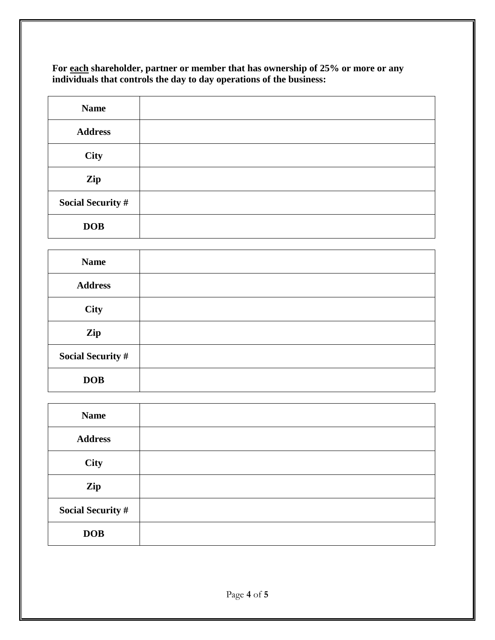**For each shareholder, partner or member that has ownership of 25% or more or any individuals that controls the day to day operations of the business:** 

| <b>Name</b>              |  |
|--------------------------|--|
| <b>Address</b>           |  |
| City                     |  |
| Zip                      |  |
| <b>Social Security #</b> |  |
| <b>DOB</b>               |  |

| <b>Name</b>              |  |
|--------------------------|--|
| <b>Address</b>           |  |
| City                     |  |
| Zip                      |  |
| <b>Social Security #</b> |  |
| <b>DOB</b>               |  |

| <b>Name</b>              |  |
|--------------------------|--|
| <b>Address</b>           |  |
| <b>City</b>              |  |
| Zip                      |  |
| <b>Social Security #</b> |  |
| <b>DOB</b>               |  |